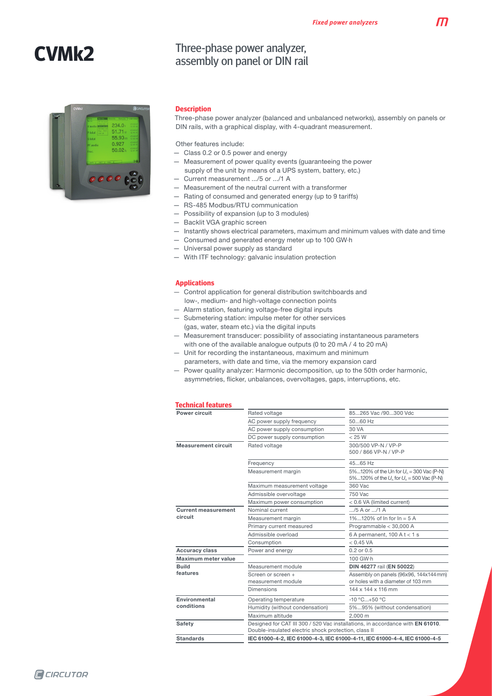M

# **CVMk2**



### Three-phase power analyzer, assembly on panel or DIN rail

### **Description**

Three-phase power analyzer (balanced and unbalanced networks), assembly on panels or DIN rails, with a graphical display, with 4-quadrant measurement.

Other features include:

- Class 0.2 or 0.5 power and energy
- Measurement of power quality events (guaranteeing the power supply of the unit by means of a UPS system, battery, etc.)
- Current measurement .../5 or .../1 A
- Measurement of the neutral current with a transformer
- Rating of consumed and generated energy (up to 9 tariffs)
- RS-485 Modbus/RTU communication
- Possibility of expansion (up to 3 modules)
- Backlit VGA graphic screen
- Instantly shows electrical parameters, maximum and minimum values with date and time
- Consumed and generated energy meter up to 100 GW·h
- Universal power supply as standard
- With ITF technology: galvanic insulation protection

### **Applications**

- Control application for general distribution switchboards and low-, medium- and high-voltage connection points
- Alarm station, featuring voltage-free digital inputs
- Submetering station: impulse meter for other services (gas, water, steam etc.) via the digital inputs
- Measurement transducer: possibility of associating instantaneous parameters with one of the available analogue outputs (0 to 20 mA / 4 to 20 mA)
- Unit for recording the instantaneous, maximum and minimum parameters, with date and time, via the memory expansion card
- Power quality analyzer: Harmonic decomposition, up to the 50th order harmonic, asymmetries, flicker, unbalances, overvoltages, gaps, interruptions, etc.

#### **Technical features**

| uunnuu luuunus                        |                                                                                                                                        |                                                                                             |  |  |
|---------------------------------------|----------------------------------------------------------------------------------------------------------------------------------------|---------------------------------------------------------------------------------------------|--|--|
| Power circuit                         | Rated voltage                                                                                                                          | 85265 Vac /90300 Vdc                                                                        |  |  |
|                                       | AC power supply frequency                                                                                                              | $5060$ Hz                                                                                   |  |  |
|                                       | AC power supply consumption                                                                                                            | 30 VA                                                                                       |  |  |
|                                       | DC power supply consumption                                                                                                            | < 25 W                                                                                      |  |  |
| <b>Measurement circuit</b>            | Rated voltage                                                                                                                          | 300/500 VP-N / VP-P<br>500 / 866 VP-N / VP-P                                                |  |  |
|                                       | Frequency                                                                                                                              | 45.65 Hz                                                                                    |  |  |
|                                       | Measurement margin                                                                                                                     | 5%120% of the Un for $U_n = 300$ Vac (P-N)<br>5%120% of the $U_n$ for $U_n$ = 500 Vac (P-N) |  |  |
|                                       | Maximum measurement voltage                                                                                                            | 360 Vac                                                                                     |  |  |
|                                       | Admissible overvoltage                                                                                                                 | 750 Vac                                                                                     |  |  |
|                                       | Maximum power consumption                                                                                                              | < 0.6 VA (limited current)                                                                  |  |  |
| <b>Current measurement</b><br>circuit | Nominal current                                                                                                                        | /5 A or /1 A                                                                                |  |  |
|                                       | Measurement margin                                                                                                                     | 1%120% of $ln for ln = 5$ A                                                                 |  |  |
|                                       | Primary current measured                                                                                                               | Programmable < 30,000 A                                                                     |  |  |
|                                       | Admissible overload                                                                                                                    | 6 A permanent, $100$ A t < 1 s                                                              |  |  |
|                                       | Consumption                                                                                                                            | < 0.45 VA                                                                                   |  |  |
| <b>Accuracy class</b>                 | Power and energy                                                                                                                       | $0.2$ or $0.5$                                                                              |  |  |
| Maximum meter value                   |                                                                                                                                        | 100 GW·h                                                                                    |  |  |
| <b>Build</b>                          | Measurement module                                                                                                                     | DIN 46277 rail (EN 50022)                                                                   |  |  |
| features                              | Screen or screen +<br>measurement module                                                                                               | Assembly on panels (96x96, 144x144mm)<br>or holes with a diameter of 103 mm                 |  |  |
|                                       | <b>Dimensions</b>                                                                                                                      | 144 x 144 x 116 mm                                                                          |  |  |
| Environmental                         | Operating temperature                                                                                                                  | $-10 °C+50 °C$                                                                              |  |  |
| conditions                            | Humidity (without condensation)                                                                                                        | 5%95% (without condensation)                                                                |  |  |
|                                       | Maximum altitude                                                                                                                       | 2.000 m                                                                                     |  |  |
| <b>Safety</b>                         | Designed for CAT III 300 / 520 Vac installations, in accordance with EN 61010.<br>Double-insulated electric shock protection, class II |                                                                                             |  |  |
| <b>Standards</b>                      | IEC 61000-4-2, IEC 61000-4-3, IEC 61000-4-11, IEC 61000-4-4, IEC 61000-4-5                                                             |                                                                                             |  |  |
|                                       |                                                                                                                                        |                                                                                             |  |  |